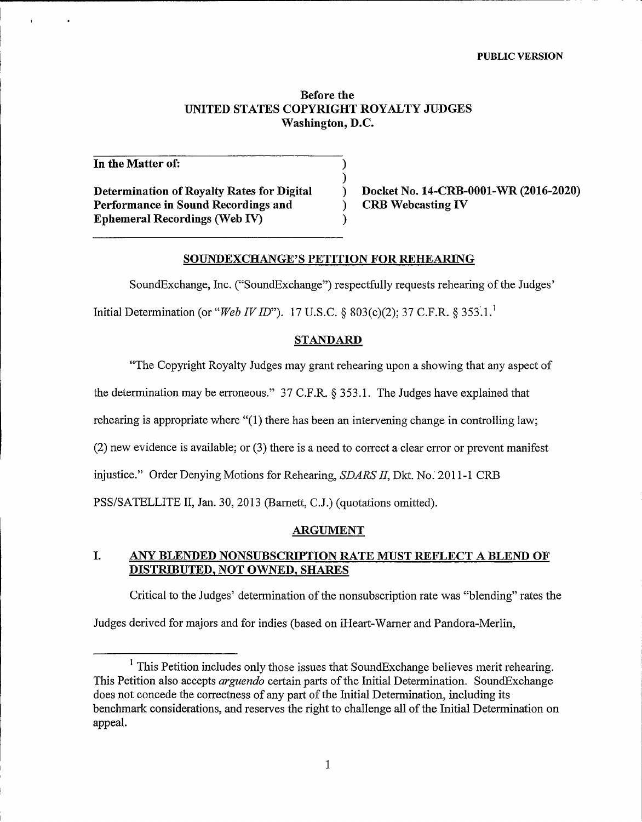## Before the UNITED STATES COPYRIGHT ROYALTY JUDGES Washington, D.C.

) )<br>)

)

In the Matter of:

Determination of Royalty Rates for Digital Performance in Sound Recordings and Ephemeral Recordings (Web IV)

(a) Docket No. 14-CRB-0001-WR (2016-2020)<br>(b) CRB Webcasting IV ) CRB Webcasting IV

#### SOUNDEXCHANGE'S PETITION FOR REHEARING

SoundExchange, Inc. ("SoundExchange") respectfully requests rehearing of the Judges'<br>Initial Determination (or "Web IV ID"). 17 U.S.C. § 803(c)(2); 37 C.F.R. § 353.1.<sup>1</sup>

#### STANDARD

"The Copyright Royalty Judges may grant rehearing upon a showing that any aspect of

the determination may be erroneous." 37 C.F.R. \$ 353.1. The Judges have explained that

rehearing is appropriate where "(1) there has been an intervening change in controlling law;

(2) new evidence is available; or (3) there is a need to correct a clear error or prevent manifest

injustice." Order Denying Motions for Rehearing, SDARS II, Dkt. No. 2011-1 CRB

PSS/SATELLITE II, Jan. 30, 2013 (Barnett, C.J.) (quotations omitted).

#### ARGUMENT

## I. ANY BLENDED NONSUBSCRIPTION RATE MUST REFLECT A BLEND OF DISTRIBUTED, NOT OWNED, SHARES

Critical to the Judges' determination of the nonsubscription rate was "blending" rates the

Judges derived for majors and for indies (based on iHeart-Warner and Pandora-Merlin,

<sup>&</sup>lt;sup>1</sup> This Petition includes only those issues that SoundExchange believes merit rehearing. This Petition also accepts *arguendo* certain parts of the Initial Determination. SoundExchange does not concede the correctness of any part of the Initial Determination, including its benchmark considerations, and reserves the right to challenge all of the Initial Determination on appeal.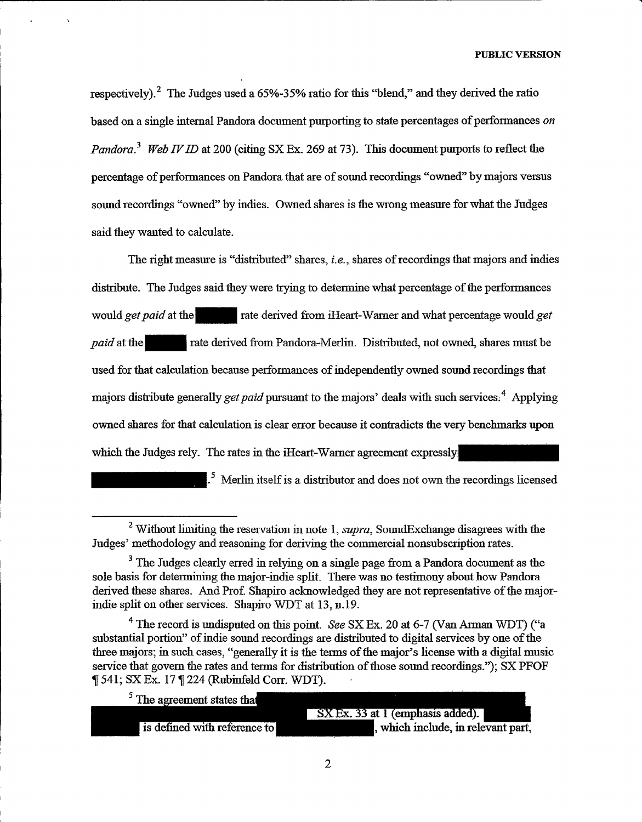respectively).<sup>2</sup> The Judges used a  $65\%$ -35% ratio for this "blend," and they derived the ratio based on a single internal Pandora document purporting to state percentages of performances on *Pandora.*<sup>3</sup> Web IV ID at 200 (citing SX Ex. 269 at 73). This document purports to reflect the percentage of performances on Pandora that are of sound recordings "owned" by majors versus sound recordings "owned" by indies. Owned shares is the wrong measure for what the Judges said they wanted to calculate.

The right measure is "distributed" shares, *i.e.*, shares of recordings that majors and indies distribute. The Judges said they were trying to determine what percentage of the performances would *get paid* at the es said the rate derived from iHeart-Warner and what percentage would get paid at the  $\frac{1}{\sqrt{2}}$  and at the state of  $\frac{1}{\sqrt{2}}$ rate derived from Pandora-Merlin. Distributed, not owned, shares must be used for that calculation because performances of independently owned sound recordings that majors distribute generally *get paid* pursuant to the majors' deals with such services;  $4$  Applying owned shares for that calculation is clear error because it contradicts the very benchmarks upon which the Judges rely. The rates in the iHeart-Warner agreement expressly.

 $\frac{1}{2}$ . Merlin itself is a distributor and does not own the recordings licensed

 $4$  The record is undisputed on this point. See SX Ex. 20 at 6-7 (Van Arman WDT) ("a substantial portion" of indie sound recordings are distributed to digital services by one of the three majors; in such cases, "generally it is the terms of the major's license with a digital music service that govern the rates and terms for distribution of those sound recordings."); SX PFOF  $\P$  541; SX Ex. 17  $\P$  224 (Rubinfeld Corr. WDT).

| <sup>3</sup> The agreement states that |                                    |
|----------------------------------------|------------------------------------|
|                                        | SX Ex. 33 at 1 (emphasis added).   |
| is defined with reference to           | , which include, in relevant part, |

<sup>&</sup>lt;sup>2</sup> Without limiting the reservation in note 1, *supra*, SoundExchange disagrees with the Judges' methodology and reasoning for deriving the commercial nonsubscription rates.

 $3$  The Judges clearly erred in relying on a single page from a Pandora document as the sole basis for determining the major-indie split. There was no testimony about how Pandora derived these shares. And Prof. Shapiro acknowledged they are not representative of the majorindie split on other services. Shapiro WDT at 13, n.19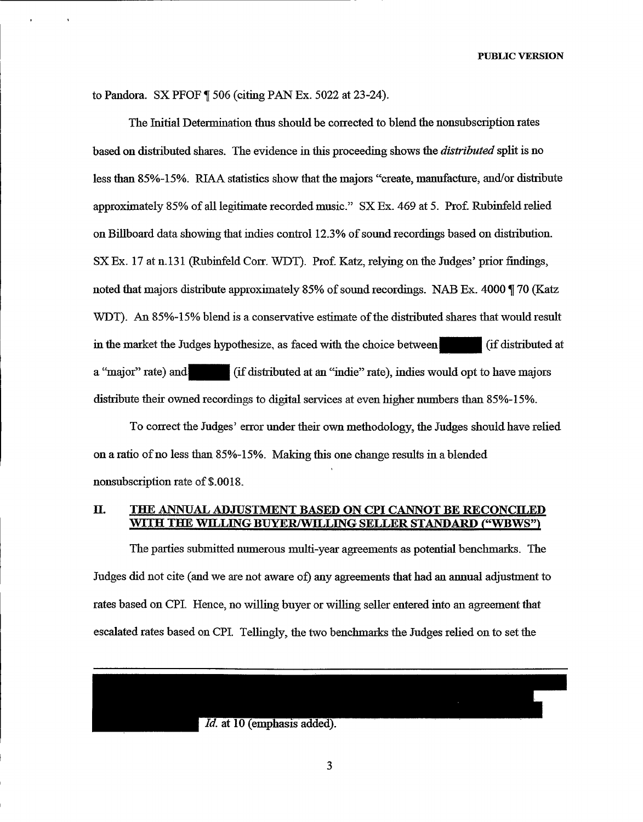to Pandora. SX PFOF  $\P$  506 (citing PAN Ex. 5022 at 23-24).

The Initial Determination thus should be corrected to blend the nonsubscription rates based on distributed shares. The evidence in this proceeding shows the distributed split is no less than 85%-15%. RIAA statistics show that the majors "create, manufacture, and/or distribute approximately 85% of all legitimate recorded music." SX Ex. 469 at 5. Prof Rubinfeld relied on Billboard data showing that indies control 12.3% of sound recordings based on distribution. SX Ex. 17 at n.131 (Rubinfeld Corr. WDT). Prof. Katz, relying on the Judges' prior findings, noted that majors distribute approximately 85% of sound recordings. NAB Ex. 4000  $\parallel$  70 (Katz WDT). An 85%-15% blend is a conservative estimate of the distributed shares that would result in the market the Judges hypothesize, as faced with the choice between  $\frac{1}{2}$  shares 1 {if distributed. at a "major" rate) and  $\left\{$  (if distributed at an "indie" rate), indies would opt to have majors distribute their owned recordings to digital services at even higher numbers than 85%-15%.

To correct the Judges' error under their own methodology, the Judges should have relied. on a ratio of no less than 85%-15%. Making this one change results in a blended nonsubscription rate of \$.0018.

## H. THE ANNUAL ADJUSTMENT BASED ON CPI CANNOT BE RECONCILED WITH THE WILLING BUYER/WILLING SELLER STANDARD ("WBWS")

The parties submitted numerous multi-year agreements as potential benchmarks. The Judges did not cite (and we are not aware of) any agreements that had an annual adjustment to rates based on CPI. Hence, no willing buyer or willing seller entered into an agreement that escalated rates based on CPI. Tellingly, the two benchmarks the Judges relied on to set the

 $Id.$  at  $10$  (emphasis added).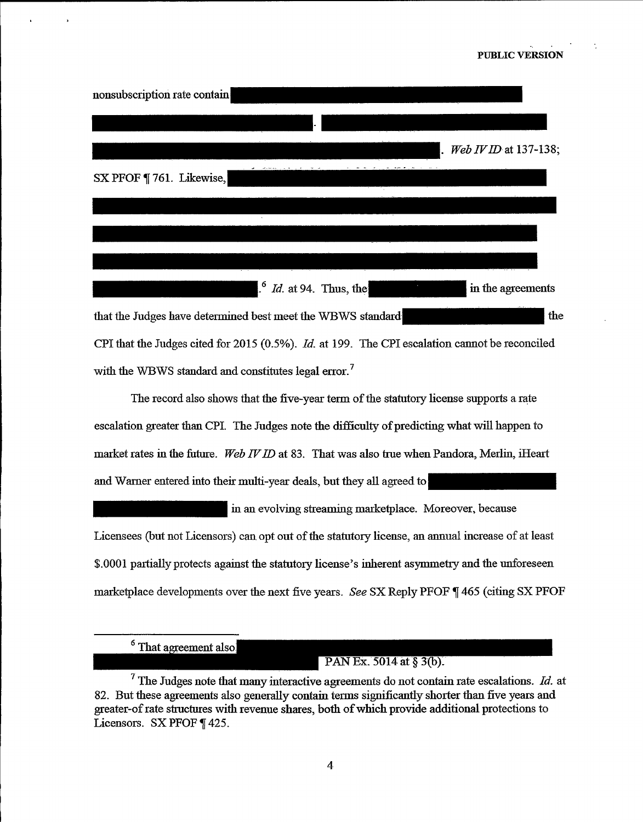| nonsubscription rate contain                                                                          |                                           |  |                                  |     |
|-------------------------------------------------------------------------------------------------------|-------------------------------------------|--|----------------------------------|-----|
|                                                                                                       |                                           |  |                                  |     |
|                                                                                                       |                                           |  | $.$ <i>Web IV ID</i> at 137-138; |     |
| SX PFOF [761. Likewise,                                                                               |                                           |  |                                  |     |
|                                                                                                       |                                           |  |                                  |     |
|                                                                                                       |                                           |  |                                  |     |
|                                                                                                       |                                           |  |                                  |     |
|                                                                                                       | $\frac{1}{2}$ <i>Id.</i> at 94. Thus, the |  | in the agreements                |     |
| that the Judges have determined best meet the WBWS standard                                           |                                           |  |                                  | the |
| CPI that the Judges cited for 2015 (0.5%). <i>Id.</i> at 199. The CPI escalation cannot be reconciled |                                           |  |                                  |     |

with the WBWS standard and constitutes legal error.<sup>7</sup>

The record also shows that the five-year term of the statutory license supports a rate escalation greater than CPI. The Judges note the difficulty of predicting what will happen to market rates in the future. Web IV ID at 83. That was also true when Pandora, Merlin, iHeart and Warner entered into their multi-year deals, but they all agreed to

Licensees (but not Licensors) can opt out of the statutory license, an annual increase of at least \$.0001 partially protects against the statutory license's inherent asymmetry and the unforeseen marketplace developments over the next five years. See SX Reply PFOF  $\P$  465 (citing SX PFOF

<sup>6</sup> That agreement also

PAN Ex. 5014 at  $\S$  3(b).

in an evolving streaming marketplace. Moreover, because

 $7$  The Judges note that many interactive agreements do not contain rate escalations. Id. at 82. But these agreements also generally contain terms significantly shorter than five years and greater-of rate structures with revenue shares, both of which provide additional protections to Licensors. SX PFOF ¶425.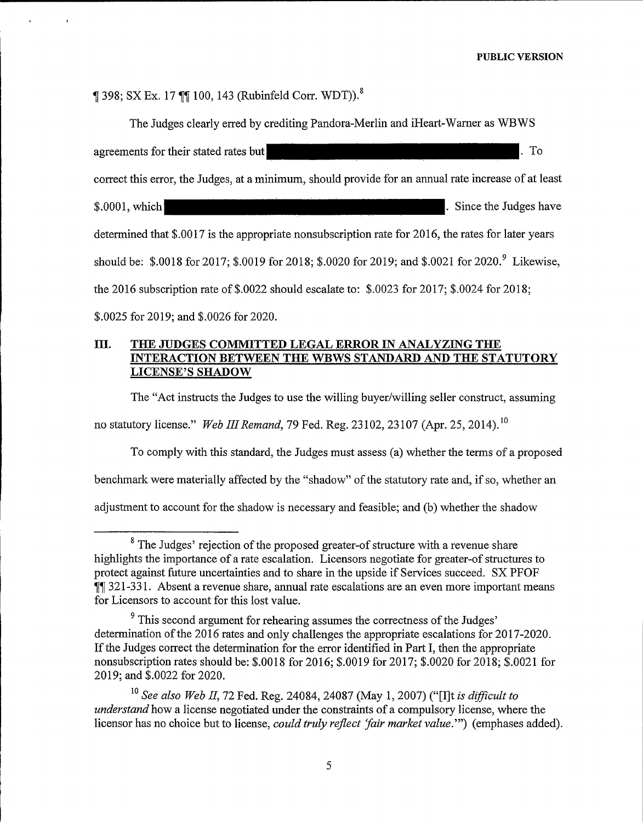1 398; SX Ex. 17 11 100, 143 (Rubinfeld Corr. WDT).<sup>8</sup>

The Judges clearly erred by crediting Pandora-Merlin and iHeart-Warner as WBWS agreements for their stated rates but To correct this error, the Judges, at a minimum, should provide for an annual rate increase of at least \$.0001, which shows the Sudges have seen the Sudges have determined that \$.0017 is the appropriate nonsubscription rate for 2016, the rates for later years should be: \$.0018 for 2017; \$.0019 for 2018; \$.0020 for 2019; and \$.0021 for 2020.<sup>9</sup> Likewise, the 2016 subscription rate of  $$.0022$  should escalate to:  $$.0023$  for 2017;  $$.0024$  for 2018; \$.0025 for 2019; and \$.0026 for 2020.

## III. THE JUDGES COMMITTED LEGAL ERROR IN ANALYZING THE INTERACTION BETWEEN THE WBWS STANDARD AND THE STATUTORY LICENSE'S SHADOW

The "Act instructs the Judges to use the willing buyer/willing seller construct, assuming

no statutory license." Web III Remand, 79 Fed. Reg. 23102, 23107 (Apr. 25, 2014).<sup>10</sup><br>To comply with this standard, the Judges must assess (a) whether the terms of a proposed

benchmark were materially affected by the "shadow" of the statutory rate and, if so, whether an

adjustment to account for the shadow is necessary and feasible; and (b) whether the shadow

 $8$  The Judges' rejection of the proposed greater-of structure with a revenue share highlights the importance of a rate escalation. Licensors negotiate for greater-of structures to protect against future uncertainties and to share in the upside if Services succeed. SX PFOF  $\P$  321-331. Absent a revenue share, annual rate escalations are an even more important means for Licensors to account for this lost value.

<sup>&</sup>lt;sup>9</sup> This second argument for rehearing assumes the correctness of the determination of the 2016 rates and only challenges the appropriate escalations for 2017-2020. If the Judges correct the determination for the error identified in Part I, then the appropriate nonsubscription rates should be: \$ .0018 for 2016; \$ .0019 for 2017; \$.0020 for 2018; \$.0021 for 2019; and \$.0022 for 2020.

 $^{10}$  See also Web II, 72 Fed. Reg. 24084, 24087 (May 1, 2007) ("[I]t is difficult to understand how a license negotiated under the constraints of a compulsory license, where the licensor has no choice but to license, *could truly reflect 'fair market value*.'") (emphases added).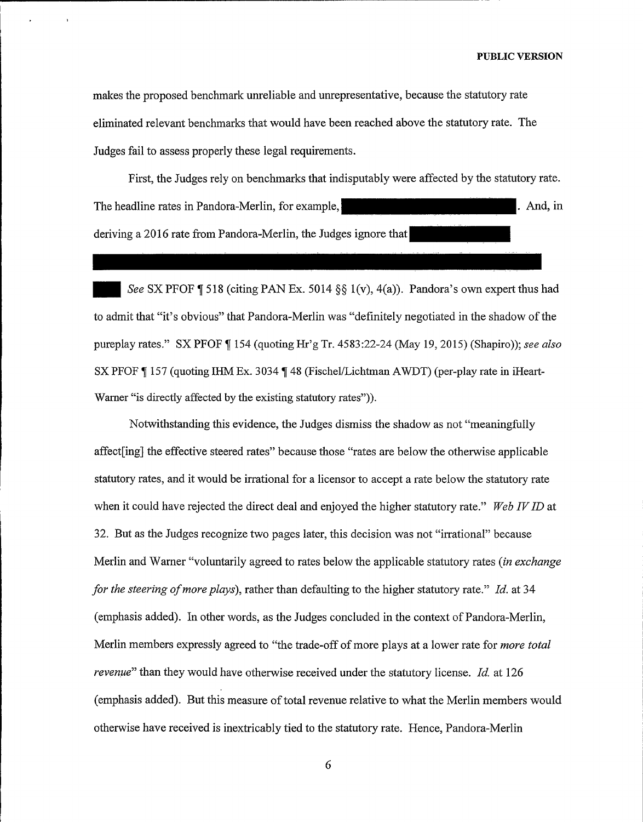makes the proposed benchmark unreliable and unrepresentative, because the statutory rate eliminated relevant benchmarks that would have been reached above the statutory rate. The Judges fail to assess properly these legal requirements.

First, the Judges rely on benchmarks that indisputably were afFected by the statutory rate. The headline rates in Pandora-Merlin, for example, deriving a 2016 rate from Pandora-Merlin, the Judges ignore that And, in

See SX PFOF  $\parallel$  518 (citing PAN Ex. 5014 §§ 1(v), 4(a)). Pandora's own expert thus had to admit that "it's obvious" that Pandora-Merlin was "definitely negotiated in the shadow ofthe pureplay rates." SX PFOF  $\P$  154 (quoting Hr'g Tr. 4583:22-24 (May 19, 2015) (Shapiro)); see also SX PFOF  $\parallel$  157 (quoting IHM Ex. 3034  $\parallel$  48 (Fischel/Lichtman AWDT) (per-play rate in iHeart-Warner "is directly affected by the existing statutory rates")).

Notwithstanding this evidence, the Judges dismiss the shadow as not "meaningfully affect[ing] the effective steered rates" because those "rates are below the otherwise applicable statutory rates, and it would be irrational for a licensor to accept a rate below the statutory rate when it could have rejected the direct deal and enjoyed the higher statutory rate." Web IVID at 32. But as the Judges recognize two pages later, this decision was not "irrational" because Merlin and Warner "voluntarily agreed to rates below the applicable statutory rates *(in exchange*) for the steering of more plays), rather than defaulting to the higher statutory rate." Id. at 34 (emphasis added). In other words, as the Judges concluded in the context of Pandora-Merlin, Merlin members expressly agreed to "the trade-off of more plays at a lower rate for *more total revenue*" than they would have otherwise received under the statutory license. Id. at 126 (emphasis added). But this measure of total revenue relative to what the Merlin members would otherwise have received is inextricably tied to the statutory rate. Hence, Pandora-Merlin

6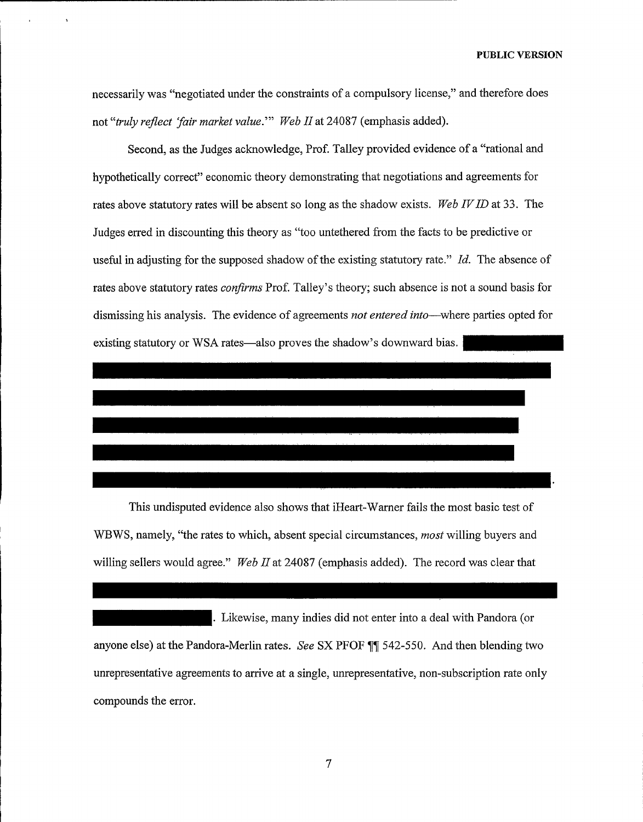necessarily was "negotiated under the constraints of a compulsory license," and therefore does not "truly reflect 'fair market value.'" Web II at 24087 (emphasis added).

Second, as the Judges acknowledge, Prof. Talley provided evidence of a "rational and hypothetically correct" economic theory demonstrating that negotiations and agreements for rates above statutory rates will be absent so long as the shadow exists. Web IV ID at 33. The Judges erred in discounting this theory as "too untethered from the facts to be predictive or useful in adjusting for the supposed shadow of the existing statutory rate." Id. The absence of rates above statutory rates *confirms* Prof. Talley's theory; such absence is not a sound basis for dismissing his analysis. The evidence of agreements not entered into—where parties opted for existing statutory or WSA rates—also proves the shadow's downward bias.

This undisputed evidence also shows that iHeart-Warner fails the most basic test of WBWS, namely, "the rates to which, absent special circumstances, most willing buyers and willing sellers would agree." Web II at 24087 (emphasis added). The record was clear that

. Likewise, many indies did not enter into a deal with Pandora (or anyone else) at the Pandora-Merlin rates. See SX PFOF  $\P\P$  542-550. And then blending two unrepresentative agreements to arrive at a single, unrepresentative, non-subscription rate only compounds the error.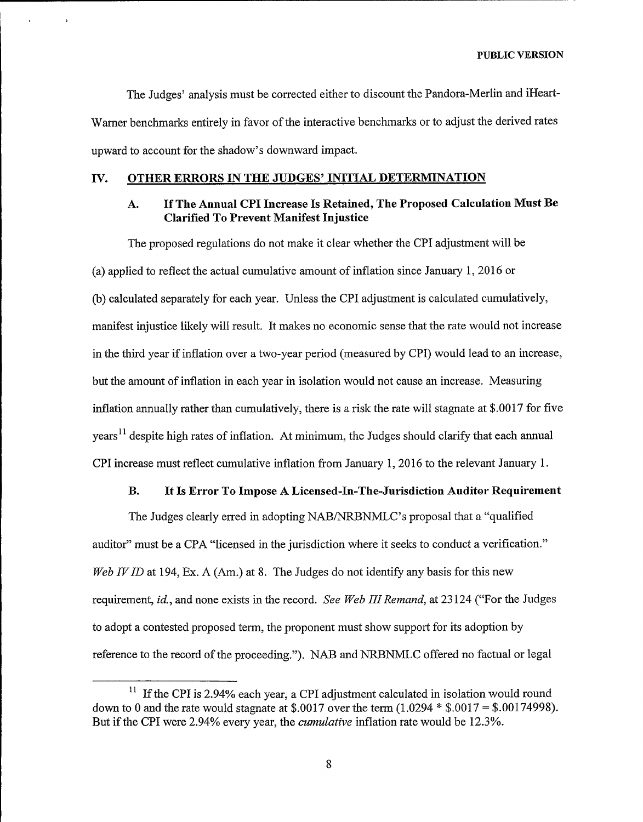The Judges' analysis must be corrected either to discount the Pandora-Merlin and iHeart-Warner benchmarks entirely in favor of the interactive benchmarks or to adjust the derived rates upward to account for the shadow's downward impact.

#### IV. OTHER ERRORS IN THE JUDGES' INITIAL DETERMINATION

## A. If The Annual CPI Increase Is Retained, The Proposed Calculation Must Be Clarified To Prevent Manifest Injustice

The proposed regulations do not make it clear whether the CPI adjustment will be (a) applied to reflect the actual cumulative amount of inflation since January 1, 2016 or (b) calculated separately for each year. Unless the CPI adjustment is calculated cumulatively, manifest injustice likely will result. It makes no economic sense that the rate would not increase in the third year if inflation over a two-year period (measured by CPI) would lead to an increase, but the amount of inflation in each year in isolation would not cause an increase. Measuring inflation annually rather than cumulatively, there is a risk the rate will stagnate at \$.0017 for five years<sup>11</sup> despite high rates of inflation. At minimum, the Judges should clarify that each annual CPI increase must reflect cumulative inflation from January 1, 2016 to the relevant January 1.

#### B. It Is Error To Impose A Licensed-In-The-Jurisdiction Auditor Requirement

The Judges clearly erred in adopting NAB/NRBNMLC's proposal that a "qualified auditor" must be a CPA "licensed in the jurisdiction where it seeks to conduct a verification." Web IV ID at 194, Ex. A (Am.) at 8. The Judges do not identify any basis for this new requirement, id., and none exists in the record. See Web III Remand, at 23124 ("For the Judges to adopt a contested proposed term, the proponent must show support for its adoption by reference to the record of the proceeding."). NAB and NRBNMLC offered no factual or legal

8

<sup>&</sup>lt;sup>11</sup> If the CPI is 2.94% each year, a CPI adjustment calculated in isolation would round down to 0 and the rate would stagnate at \$.0017 over the term  $(1.0294 * $.0017 = $.00174998)$ . But if the CPI were 2.94% every year, the *cumulative* inflation rate would be 12.3%.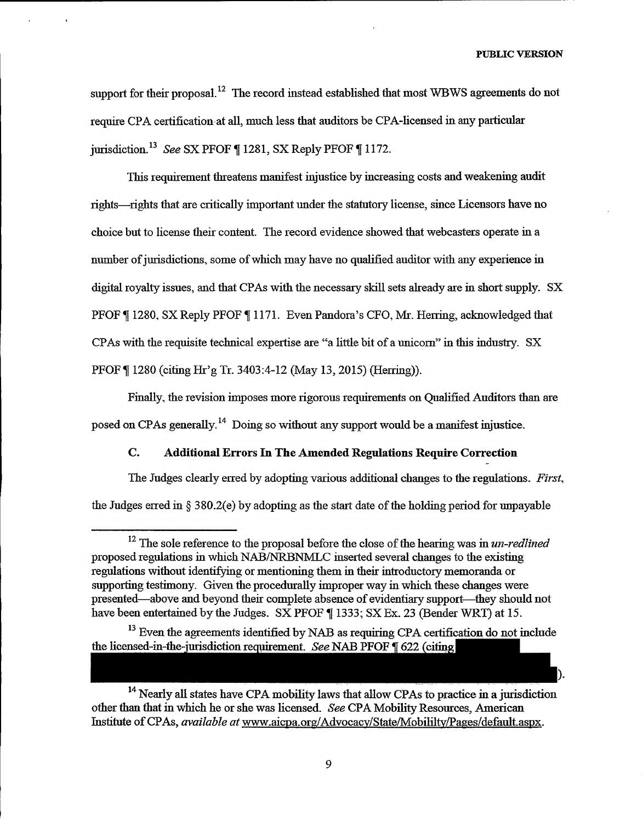support for their proposal.<sup>12</sup> The record instead established that most WBWS agreements do not require CPA certification at all, much less that auditors be CPA-licensed in any particular jurisdiction.<sup>13</sup> See SX PFOF  $\P$  1281, SX Reply PFOF  $\P$  1172.

This requirement threatens manifest injustice by increasing costs and weakening audit rights—rights that are critically important under the statutory license, since Licensors have no choice but to license their content. The record evidence showed that webcasters operate in a number of jurisdictions, some of which may have no qualified auditor with any experience in digital royalty issues, and that CPAs with the necessary skill sets already are in short supply. SX PFOF \[1280, SX Reply PFOF \[1171. Even Pandora's CFO, Mr. Herring, acknowledged that CPAs with the requisite technical expertise are "a little bit of a unicorn" in this industry. SX PFOF ¶ 1280 (citing Hr'g Tr. 3403:4-12 (May 13, 2015) (Herring)).

Finally, the revision imposes more rigorous requirements on Qualified Auditors than are posed on CPAs generally.<sup>14</sup> Doing so without any support would be a manifest injustice.

#### C. Additional Errors In The Amended Regulations Require Correction

The Judges clearly erred by adopting various additional changes to the regulations. First, the Judges erred in  $\S 380.2$ (e) by adopting as the start date of the holding period for unpayable

 $12$  The sole reference to the proposal before the close of the hearing was in *un-redlined* proposed regulations in which NAB/NRBNMLC inserted several changes to the existing regulations without identifying or mentioning them in their introductory memoranda or supporting testimony. Given the procedurally improper way in which these changes were presented—above and beyond their complete absence of evidentiary support—they should not have been entertained by the Judges. SX PFOF [ 1333; SX Ex. 23 (Bender WRT) at 15.

<sup>&</sup>lt;sup>13</sup> Even the agreements identified by NAB as requiring CPA certification do not include the licensed-in-the-jurisdiction requirement. See NAB PFOF  $\P$  622 (citing

 $14$  Nearly all states have CPA mobility laws that allow CPAs to practice in a jurisdiction other than that in which he orshe was licensed. See CPAMobility Resources, American Institute of CPAs, *available at* www.aicpa.org/Advocacy/State/Mobililty/Pages/default.aspx.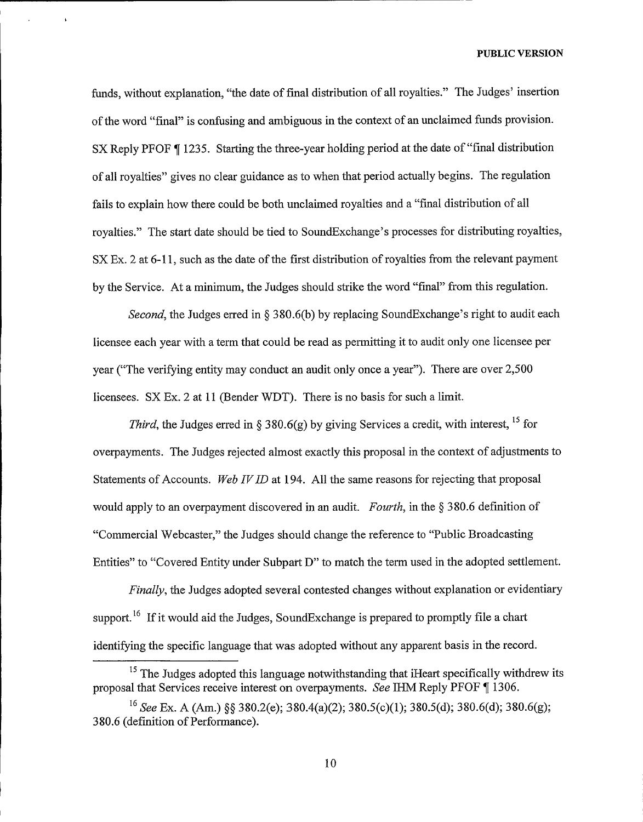funds, without explanation, "the date of final distribution of all royalties." The Judges' insertion of the word "final" is confusing and ambiguous in the context of an unclaimed funds provision. SX Reply PFOF ¶ 1235. Starting the three-year holding period at the date of "final distribution of all royalties" gives no clear guidance as to when that period actually begins. The regulation fails to explain how there could be both unclaimed royalties and a "final distribution of all royalties." The start date should be tied to SoundExchange's processes for distributing royalties, SX Ex. 2 at 6-11, such as the date of the first distribution of royalties from the relevant payment by the Service. At a minimum, the Judges should strike the word "final" from this regulation.

Second, the Judges erred in  $\S 380.6(b)$  by replacing SoundExchange's right to audit each licensee each year with a term that could be read as permitting it to audit only one licensee per year ("The verifying entity may conduct an audit only once a year"), There are over 2,500 licensees. SX Ex. 2 at 11 (Bender WDT). There is no basis for such a limit.

*Third*, the Judges erred in § 380.6(g) by giving Services a credit, with interest, <sup>15</sup> for overpayments. The Judges rejected almost exactly this proposal in the context of adjustments to Statements of Accounts. Web IV ID at 194. All the same reasons for rejecting that proposal would apply to an overpayment discovered in an audit. Fourth, in the  $\S 380.6$  definition of "Commercial Webcaster," the Judges should change the reference to "Public Broadcasting Entities" to "Covered Entity under Subpart D" to match the term used in the adopted settlement.

Finally, the Judges adopted several contested changes without explanation or evidentiary support.<sup>16</sup> If it would aid the Judges, SoundExchange is prepared to promptly file a chart identifying the specific language that was adopted without any apparent basis in the record.

<sup>&</sup>lt;sup>15</sup> The Judges adopted this language notwithstanding that iHeart specifically withdrew its proposal that Services receive interest on overpayments. See IHM Reply PFOF  $\P$  1306.

<sup>&</sup>lt;sup>16</sup> See Ex. A (Am.) §  $\frac{8}{380.2}$ (e); 380.4(a)(2); 380.5(c)(1); 380.5(d); 380.6(d); 380.6(g); 380.6 (definition of Performance).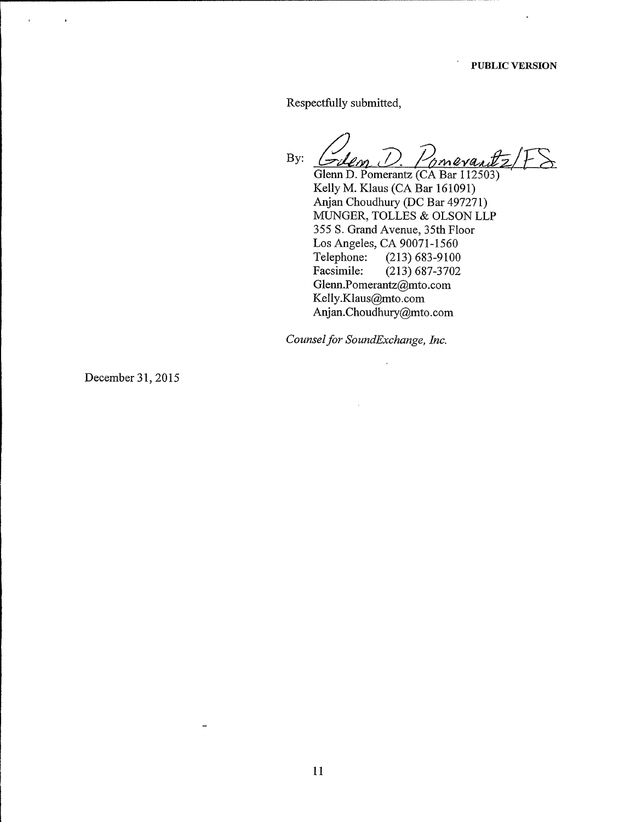ä,

Respectfully submitted,

By: mevas Glenn D. Pomerantz (CA Bar 112503)

Kelly M. Klaus (CA Bar 161091) Anjan Choudhury (DC Bar 497271) MUNGER, TOLLES & OLSON LLP 355 S. Grand Avenue, 35th Floor Los Angeles, CA 90071-1560<br>Telephone: (213) 683-9100 Telephone: (213) 683-9100<br>Facsimile: (213) 687-3702  $(213)$  687-3702 Glenn.Pomerantz@mto.com Kelly.Klaus@mto.com Anjan.Choudhury@mto.corn

Counsel for SoundExchange, Inc.

 $\overline{\phantom{a}}$ 

December 31, 2015

 $\lambda$ 

 $\overline{a}$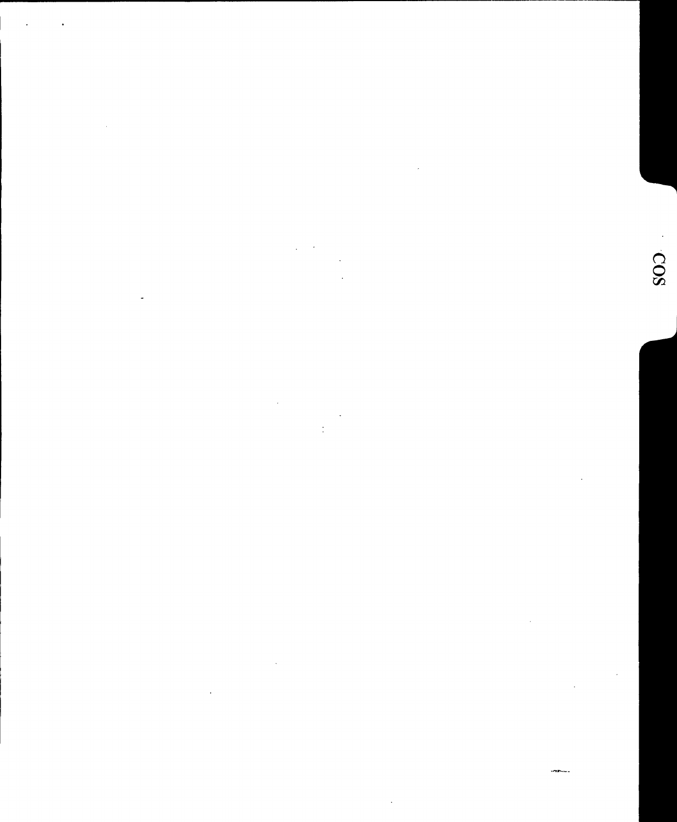$\label{eq:2.1} \frac{1}{\sqrt{2}}\int_{\mathbb{R}^3}\frac{1}{\sqrt{2}}\left(\frac{1}{\sqrt{2}}\right)^2\frac{1}{\sqrt{2}}\left(\frac{1}{\sqrt{2}}\right)^2\frac{1}{\sqrt{2}}\left(\frac{1}{\sqrt{2}}\right)^2\frac{1}{\sqrt{2}}\left(\frac{1}{\sqrt{2}}\right)^2.$ 

 $\ddot{\phantom{0}}$ 

 $\label{eq:2.1} \frac{1}{2} \sum_{i=1}^n \frac{1}{2} \sum_{j=1}^n \frac{1}{2} \sum_{j=1}^n \frac{1}{2} \sum_{j=1}^n \frac{1}{2} \sum_{j=1}^n \frac{1}{2} \sum_{j=1}^n \frac{1}{2} \sum_{j=1}^n \frac{1}{2} \sum_{j=1}^n \frac{1}{2} \sum_{j=1}^n \frac{1}{2} \sum_{j=1}^n \frac{1}{2} \sum_{j=1}^n \frac{1}{2} \sum_{j=1}^n \frac{1}{2} \sum_{j=1}^n \frac{$ 

 $\frac{1}{\sqrt{2}}$ 

 $\label{eq:2.1} \frac{1}{\sqrt{2}}\left(\frac{1}{\sqrt{2}}\right)^{2} \left(\frac{1}{\sqrt{2}}\right)^{2} \left(\frac{1}{\sqrt{2}}\right)^{2} \left(\frac{1}{\sqrt{2}}\right)^{2} \left(\frac{1}{\sqrt{2}}\right)^{2} \left(\frac{1}{\sqrt{2}}\right)^{2} \left(\frac{1}{\sqrt{2}}\right)^{2} \left(\frac{1}{\sqrt{2}}\right)^{2} \left(\frac{1}{\sqrt{2}}\right)^{2} \left(\frac{1}{\sqrt{2}}\right)^{2} \left(\frac{1}{\sqrt{2}}\right)^{2} \left(\$ 

 $\label{eq:2.1} \mathcal{L}(\mathcal{L}^{\mathcal{L}}_{\mathcal{L}}(\mathcal{L}^{\mathcal{L}}_{\mathcal{L}}))\leq \mathcal{L}(\mathcal{L}^{\mathcal{L}}_{\mathcal{L}}(\mathcal{L}^{\mathcal{L}}_{\mathcal{L}}))\leq \mathcal{L}(\mathcal{L}^{\mathcal{L}}_{\mathcal{L}}(\mathcal{L}^{\mathcal{L}}_{\mathcal{L}}))$ 

 $\mathcal{L}$ 

 $\frac{1}{2} \sum_{i=1}^{n} \frac{1}{2} \sum_{j=1}^{n} \frac{1}{2} \sum_{j=1}^{n} \frac{1}{2} \sum_{j=1}^{n} \frac{1}{2} \sum_{j=1}^{n} \frac{1}{2} \sum_{j=1}^{n} \frac{1}{2} \sum_{j=1}^{n} \frac{1}{2} \sum_{j=1}^{n} \frac{1}{2} \sum_{j=1}^{n} \frac{1}{2} \sum_{j=1}^{n} \frac{1}{2} \sum_{j=1}^{n} \frac{1}{2} \sum_{j=1}^{n} \frac{1}{2} \sum_{j=1}^{n$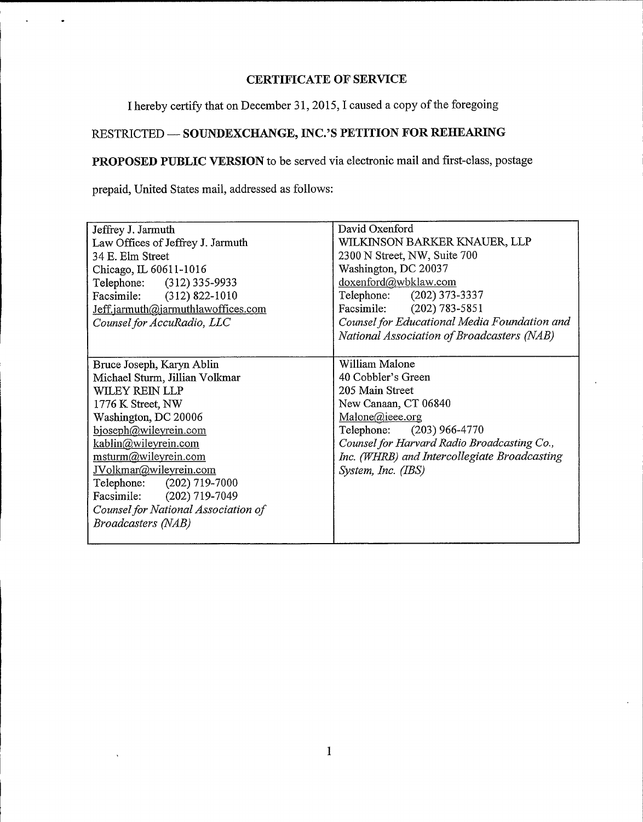## CERTIFICATE OF SERVICE

I hereby certify that on December 31, 2015, I caused a copy of the foregoing

# RESTRICTED — SOUNDEXCHANGE, INC.'S PETITION FOR REHEARING

## PROPOSED PUBLIC VERSION to be served via electronic mail and first-class, postage

prepaid, United States mail, addressed as follows:

| Jeffrey J. Jarmuth                  | David Oxenford                               |
|-------------------------------------|----------------------------------------------|
| Law Offices of Jeffrey J. Jarmuth   | WILKINSON BARKER KNAUER, LLP                 |
| 34 E. Elm Street                    | 2300 N Street, NW, Suite 700                 |
| Chicago, IL 60611-1016              | Washington, DC 20037                         |
| Telephone: (312) 335-9933           | doxenford@wbklaw.com                         |
| Facsimile: (312) 822-1010           | Telephone: (202) 373-3337                    |
| Jeff.jarmuth@jarmuthlawoffices.com  | Facsimile: (202) 783-5851                    |
| Counsel for AccuRadio, LLC          | Counsel for Educational Media Foundation and |
|                                     | National Association of Broadcasters (NAB)   |
|                                     |                                              |
| Bruce Joseph, Karyn Ablin           | William Malone                               |
| Michael Sturm, Jillian Volkmar      | 40 Cobbler's Green                           |
| WILEY REIN LLP                      | 205 Main Street                              |
| 1776 K Street, NW                   | New Canaan, CT 06840                         |
| Washington, DC 20006                | Malone@ieee.org                              |
| bjoseph@wileyrein.com               | Telephone: (203) 966-4770                    |
| kablin@wileyrein.com                | Counsel for Harvard Radio Broadcasting Co.,  |
| msturm@wileyrein.com                | Inc. (WHRB) and Intercollegiate Broadcasting |
| JVolkmar@wileyrein.com              | System, Inc. (IBS)                           |
| Telephone: (202) 719-7000           |                                              |
| Facsimile: (202) 719-7049           |                                              |
| Counsel for National Association of |                                              |
| <b>Broadcasters</b> (NAB)           |                                              |
|                                     |                                              |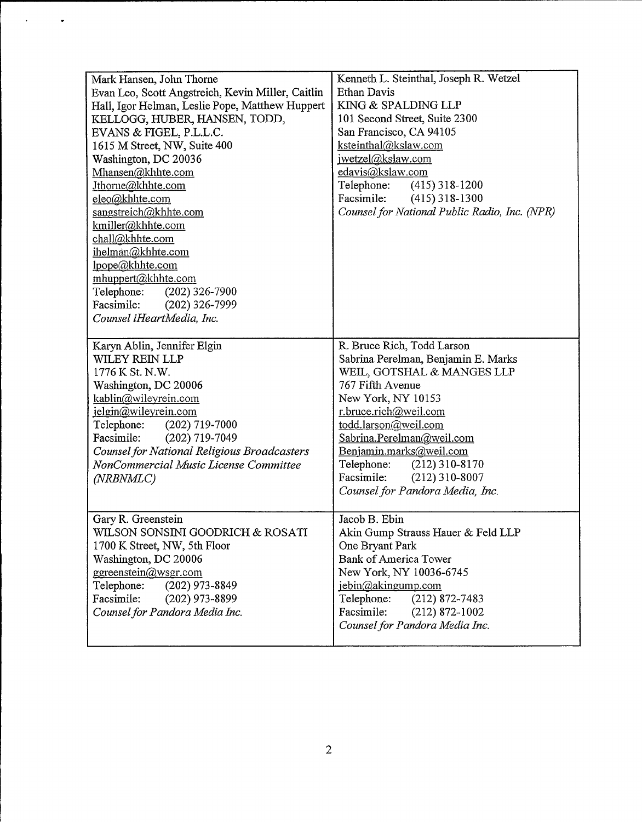| Mark Hansen, John Thorne                           | Kenneth L. Steinthal, Joseph R. Wetzel        |
|----------------------------------------------------|-----------------------------------------------|
| Evan Leo, Scott Angstreich, Kevin Miller, Caitlin  | <b>Ethan Davis</b>                            |
| Hall, Igor Helman, Leslie Pope, Matthew Huppert    | KING & SPALDING LLP                           |
| KELLOGG, HUBER, HANSEN, TODD,                      | 101 Second Street, Suite 2300                 |
| EVANS & FIGEL, P.L.L.C.                            | San Francisco, CA 94105                       |
| 1615 M Street, NW, Suite 400                       | ksteinthal@kslaw.com                          |
| Washington, DC 20036                               | jwetzel@kslaw.com                             |
| Mhansen@khhte.com                                  | edavis@kslaw.com                              |
| Jthorne@khhte.com                                  | Telephone:<br>$(415)$ 318-1200                |
| eleo@khhte.com                                     | Facsimile:<br>$(415)$ 318-1300                |
| sangstreich@khhte.com                              | Counsel for National Public Radio, Inc. (NPR) |
| kmiller@khhte.com                                  |                                               |
| chall@khhte.com                                    |                                               |
| ihelman@khhte.com                                  |                                               |
| lpope@khhte.com                                    |                                               |
| mhuppert@khhte.com                                 |                                               |
| Telephone:<br>(202) 326-7900                       |                                               |
| $(202)$ 326-7999<br>Facsimile:                     |                                               |
| Counsel iHeartMedia, Inc.                          |                                               |
|                                                    |                                               |
| Karyn Ablin, Jennifer Elgin                        | R. Bruce Rich, Todd Larson                    |
| WILEY REIN LLP                                     | Sabrina Perelman, Benjamin E. Marks           |
| 1776 K St. N.W.                                    | WEIL, GOTSHAL & MANGES LLP                    |
| Washington, DC 20006                               | 767 Fifth Avenue                              |
| kablin@wileyrein.com                               | New York, NY 10153                            |
| jelgin@wileyrein.com                               | r.bruce.rich@weil.com                         |
| Telephone: (202) 719-7000                          | todd.larson@weil.com                          |
| Facsimile: (202) 719-7049                          | Sabrina.Perelman@weil.com                     |
| <b>Counsel for National Religious Broadcasters</b> | Benjamin.marks@weil.com                       |
| NonCommercial Music License Committee              | Telephone:<br>$(212)$ 310-8170                |
| (NRBNMLC)                                          | Facsimile:<br>$(212)$ 310-8007                |
|                                                    | Counsel for Pandora Media, Inc.               |
|                                                    |                                               |
| Gary R. Greenstein                                 | Jacob B. Ebin                                 |
| WILSON SONSINI GOODRICH & ROSATI                   | Akin Gump Strauss Hauer & Feld LLP            |
| 1700 K Street, NW, 5th Floor                       | One Bryant Park                               |
| Washington, DC 20006                               | <b>Bank of America Tower</b>                  |
| ggreenstein@wsgr.com                               | New York, NY 10036-6745                       |
| (202) 973-8849<br>Telephone:                       | iebin@akingump.com                            |
| Facsimile:<br>$(202)$ 973-8899                     | $(212)$ 872-7483<br>Telephone:                |
| Counsel for Pandora Media Inc.                     | Facsimile:<br>$(212)$ 872-1002                |
|                                                    | Counsel for Pandora Media Inc.                |
|                                                    |                                               |